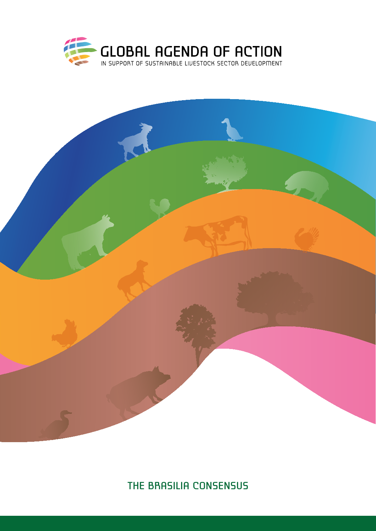



The Brasilia Consensus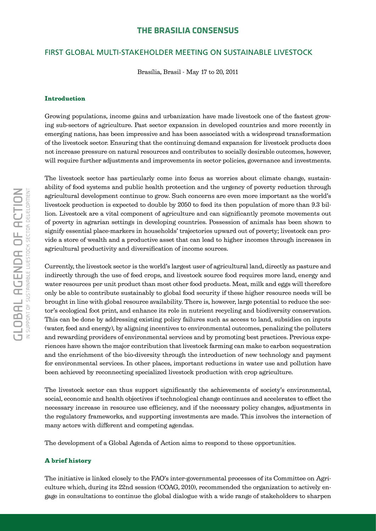## **The Brasilia Consensus**

## First Global Multi-Stakeholder Meeting on Sustainable Livestock

Brasília, Brasil - May 17 to 20, 2011

#### Introduction

Growing populations, income gains and urbanization have made livestock one of the fastest growing sub-sectors of agriculture. Past sector expansion in developed countries and more recently in emerging nations, has been impressive and has been associated with a widespread transformation of the livestock sector. Ensuring that the continuing demand expansion for livestock products does not increase pressure on natural resources and contributes to socially desirable outcomes, however, will require further adjustments and improvements in sector policies, governance and investments.

The livestock sector has particularly come into focus as worries about climate change, sustainability of food systems and public health protection and the urgency of poverty reduction through agricultural development continue to grow. Such concerns are even more important as the world's livestock production is expected to double by 2050 to feed its then population of more than 9.3 billion. Livestock are a vital component of agriculture and can significantly promote movements out of poverty in agrarian settings in developing countries. Possession of animals has been shown to signify essential place-markers in households' trajectories upward out of poverty; livestock can provide a store of wealth and a productive asset that can lead to higher incomes through increases in agricultural productivity and diversification of income sources.

Currently, the livestock sector is the world's largest user of agricultural land, directly as pasture and indirectly through the use of feed crops, and livestock source food requires more land, energy and water resources per unit product than most other food products. Meat, milk and eggs will therefore only be able to contribute sustainably to global food security if these higher resource needs will be brought in line with global resource availability. There is, however, large potential to reduce the sector's ecological foot print, and enhance its role in nutrient recycling and biodiversity conservation. This can be done by addressing existing policy failures such as access to land, subsidies on inputs (water, feed and energy), by aligning incentives to environmental outcomes, penalizing the polluters and rewarding providers of environmental services and by promoting best practices. Previous experiences have shown the major contribution that livestock farming can make to carbon sequestration and the enrichment of the bio-diversity through the introduction of new technology and payment for environmental services. In other places, important reductions in water use and pollution have been achieved by reconnecting specialized livestock production with crop agriculture.

The livestock sector can thus support significantly the achievements of society's environmental, social, economic and health objectives if technological change continues and accelerates to effect the necessary increase in resource use efficiency, and if the necessary policy changes, adjustments in the regulatory frameworks, and supporting investments are made. This involves the interaction of many actors with different and competing agendas.

The development of a Global Agenda of Action aims to respond to these opportunities.

#### A brief history

The initiative is linked closely to the FAO's inter-governmental processes of its Committee on Agriculture which, during its 22nd session (COAG, 2010), recommended the organization to actively engage in consultations to continue the global dialogue with a wide range of stakeholders to sharpen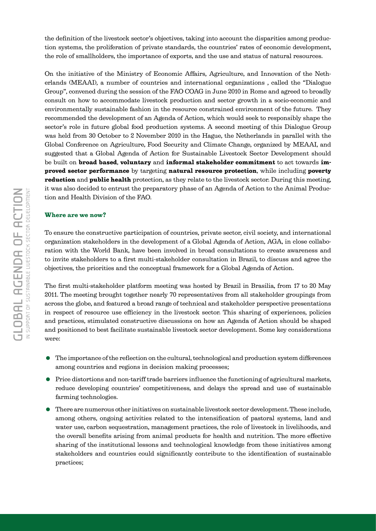the definition of the livestock sector's objectives, taking into account the disparities among production systems, the proliferation of private standards, the countries' rates of economic development, the role of smallholders, the importance of exports, and the use and status of natural resources.

On the initiative of the Ministry of Economic Affairs, Agriculture, and Innovation of the Netherlands (MEAAI), a number of countries and international organizations , called the "Dialogue Group", convened during the session of the FAO COAG in June 2010 in Rome and agreed to broadly consult on how to accommodate livestock production and sector growth in a socio-economic and environmentally sustainable fashion in the resource constrained environment of the future. They recommended the development of an Agenda of Action, which would seek to responsibly shape the sector's role in future global food production systems. A second meeting of this Dialogue Group was held from 30 October to 2 November 2010 in the Hague, the Netherlands in parallel with the Global Conference on Agriculture, Food Security and Climate Change, organized by MEAAI, and suggested that a Global Agenda of Action for Sustainable Livestock Sector Development should be built on **broad based, voluntary** and **informal stakeholder commitment** to act towards improved sector performance by targeting natural resource protection, while including poverty reduction and public health protection, as they relate to the livestock sector. During this meeting, it was also decided to entrust the preparatory phase of an Agenda of Action to the Animal Production and Health Division of the FAO.

#### Where are we now?

To ensure the constructive participation of countries, private sector, civil society, and international organization stakeholders in the development of a Global Agenda of Action, AGA, in close collaboration with the World Bank, have been involved in broad consultations to create awareness and to invite stakeholders to a first multi-stakeholder consultation in Brazil, to discuss and agree the objectives, the priorities and the conceptual framework for a Global Agenda of Action.

The first multi-stakeholder platform meeting was hosted by Brazil in Brasilia, from 17 to 20 May 2011. The meeting brought together nearly 70 representatives from all stakeholder groupings from across the globe, and featured a broad range of technical and stakeholder perspective presentations in respect of resource use efficiency in the livestock sector. This sharing of experiences, policies and practices, stimulated constructive discussions on how an Agenda of Action should be shaped and positioned to best facilitate sustainable livestock sector development. Some key considerations were:

- The importance of the reflection on the cultural, technological and production system differences among countries and regions in decision making processes;
- Price distortions and non-tariff trade barriers influence the functioning of agricultural markets, reduce developing countries' competitiveness, and delays the spread and use of sustainable farming technologies.
- There are numerous other initiatives on sustainable livestock sector development. These include, among others, ongoing activities related to the intensification of pastoral systems, land and water use, carbon sequestration, management practices, the role of livestock in livelihoods, and the overall benefits arising from animal products for health and nutrition. The more effective sharing of the institutional lessons and technological knowledge from these initiatives among stakeholders and countries could significantly contribute to the identification of sustainable practices;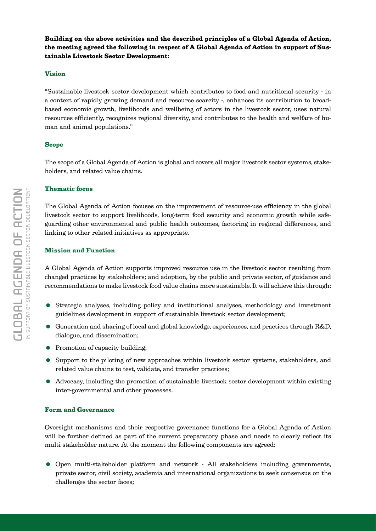Building on the above activities and the described principles of a Global Agenda of Action, the meeting agreed the following in respect of A Global Agenda of Action in support of Sustainable Livestock Sector Development:

#### Vision

"Sustainable livestock sector development which contributes to food and nutritional security - in a context of rapidly growing demand and resource scarcity -, enhances its contribution to broadbased economic growth, livelihoods and wellbeing of actors in the livestock sector, uses natural resources efficiently, recognizes regional diversity, and contributes to the health and welfare of human and animal populations."

### Scope

The scope of a Global Agenda of Action is global and covers all major livestock sector systems, stakeholders, and related value chains.

#### Thematic focus

The Global Agenda of Action focuses on the improvement of resource-use efficiency in the global livestock sector to support livelihoods, long-term food security and economic growth while safeguarding other environmental and public health outcomes, factoring in regional differences, and linking to other related initiatives as appropriate.

### Mission and Function

A Global Agenda of Action supports improved resource use in the livestock sector resulting from changed practices by stakeholders; and adoption, by the public and private sector, of guidance and recommendations to make livestock food value chains more sustainable. It will achieve this through:

- Strategic analyses, including policy and institutional analyses, methodology and investment guidelines development in support of sustainable livestock sector development;
- Generation and sharing of local and global knowledge, experiences, and practices through R&D, dialogue, and dissemination;
- Promotion of capacity building;
- Support to the piloting of new approaches within livestock sector systems, stakeholders, and related value chains to test, validate, and transfer practices;
- Advocacy, including the promotion of sustainable livestock sector development within existing inter-governmental and other processes.

## Form and Governance

Oversight mechanisms and their respective governance functions for a Global Agenda of Action will be further defined as part of the current preparatory phase and needs to clearly reflect its multi-stakeholder nature. At the moment the following components are agreed:

 Open multi-stakeholder platform and network - All stakeholders including governments, private sector, civil society, academia and international organizations to seek consensus on the challenges the sector faces;